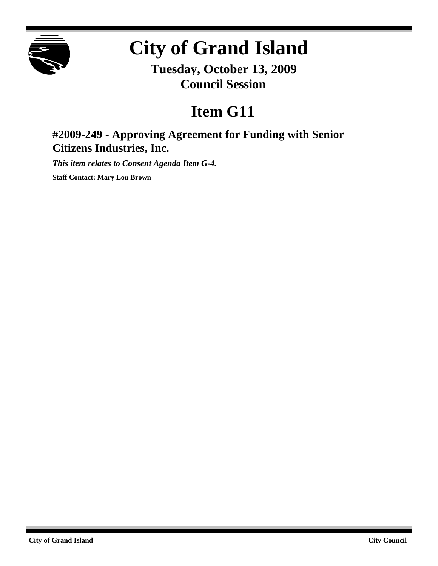

# **City of Grand Island**

**Tuesday, October 13, 2009 Council Session**

## **Item G11**

### **#2009-249 - Approving Agreement for Funding with Senior Citizens Industries, Inc.**

*This item relates to Consent Agenda Item G-4.*

**Staff Contact: Mary Lou Brown**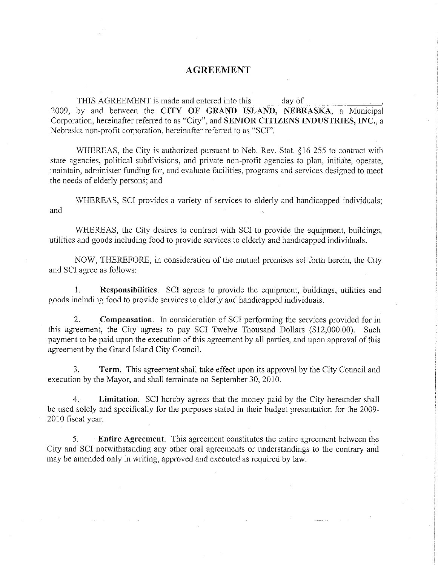#### **AGREEMENT**

THIS AGREEMENT is made and entered into this day of 2009, by and between the CITY OF GRAND ISLAND, NEBRASKA, a Municipal Corporation, hereinafter referred to as "City", and SENIOR CITIZENS INDUSTRIES, INC., a Nebraska non-profit corporation, hereinafter referred to as "SCI".

WHEREAS, the City is authorized pursuant to Neb. Rev. Stat. §16-255 to contract with state agencies, political subdivisions, and private non-profit agencies to plan, initiate, operate, maintain, administer funding for, and evaluate facilities, programs and services designed to meet the needs of elderly persons; and

WHEREAS, SCI provides a variety of services to elderly and handicapped individuals; and

WHEREAS, the City desires to contract with SCI to provide the equipment, buildings, utilities and goods including food to provide services to elderly and handicapped individuals.

NOW, THEREFORE, in consideration of the mutual promises set forth herein, the City and SCI agree as follows:

Responsibilities. SCI agrees to provide the equipment, buildings, utilities and  $1.$ goods including food to provide services to elderly and handicapped individuals.

2. **Compensation.** In consideration of SCI performing the services provided for in this agreement, the City agrees to pay SCI Twelve Thousand Dollars (\$12,000.00). Such payment to be paid upon the execution of this agreement by all parties, and upon approval of this agreement by the Grand Island City Council.

 $\mathcal{L}$ Term. This agreement shall take effect upon its approval by the City Council and execution by the Mayor, and shall terminate on September 30, 2010.

 $\overline{4}$ . Limitation. SCI hereby agrees that the money paid by the City hereunder shall be used solely and specifically for the purposes stated in their budget presentation for the 2009-2010 fiscal year.

Entire Agreement. This agreement constitutes the entire agreement between the 5. City and SCI notwithstanding any other oral agreements or understandings to the contrary and may be amended only in writing, approved and executed as required by law.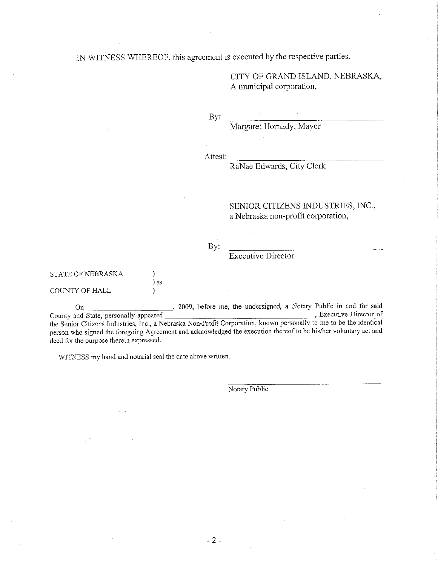IN WITNESS WHEREOF, this agreement is executed by the respective parties.

CITY OF GRAND ISLAND, NEBRASKA, A municipal corporation,

By:

Margaret Hornady, Mayor

Attest:

RaNae Edwards, City Clerk

#### SENIOR CITIZENS INDUSTRIES, INC., a Nebraska non-profit corporation,

#### By:

## **Executive Director**

#### STATE OF NEBRASKA

#### **COUNTY OF HALL**

, 2009, before me, the undersigned, a Notary Public in and for said  $_{\rm On}$ \_\_\_\_\_\_\_, Executive Director of County and State, personally appeared the Senior Citizens Industries, Inc., a Nebraska Non-Profit Corporation, known personally to me to be the identical person who signed the foregoing Agreement and acknowledged the execution thereof to be his/her voluntary act and deed for the purpose therein expressed.

WITNESS my hand and notarial seal the date above written.

 $\mathcal{L}$  $\frac{1}{2}$  ss

 $\lambda$ 

Notary Public